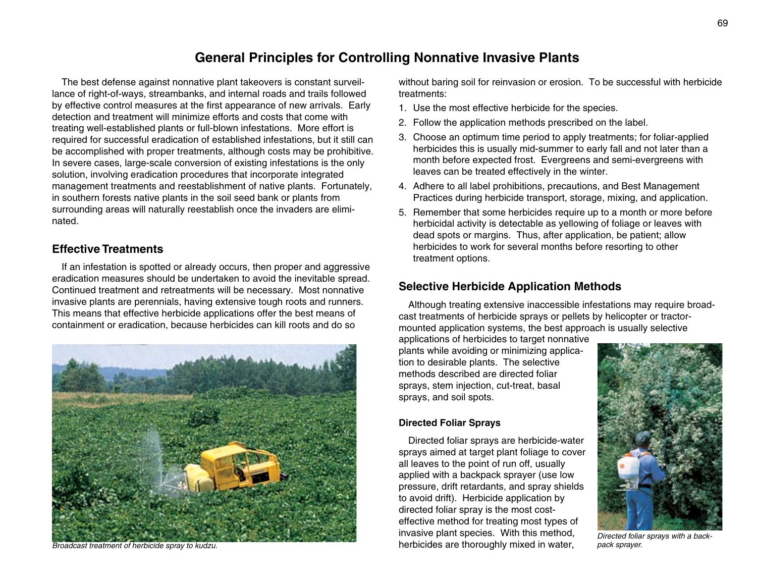# **General Principles for Controlling Nonnative Invasive Plants**

The best defense against nonnative plant takeovers is constant surveillance of right-of-ways, streambanks, and internal roads and trails followed by effective control measures at the first appearance of new arrivals. Early detection and treatment will minimize efforts and costs that come with treating well-established plants or full-blown infestations. More effort is required for successful eradication of established infestations, but it still can be accomplished with proper treatments, although costs may be prohibitive. In severe cases, large-scale conversion of existing infestations is the only solution, involving eradication procedures that incorporate integrated management treatments and reestablishment of native plants. Fortunately, in southern forests native plants in the soil seed bank or plants from surrounding areas will naturally reestablish once the invaders are eliminated.

# **Effective Treatments**

If an infestation is spotted or already occurs, then proper and aggressive eradication measures should be undertaken to avoid the inevitable spread. Continued treatment and retreatments will be necessary. Most nonnative invasive plants are perennials, having extensive tough roots and runners. This means that effective herbicide applications offer the best means of containment or eradication, because herbicides can kill roots and do so



without baring soil for reinvasion or erosion. To be successful with herbicide treatments:

- 1. Use the most effective herbicide for the species.
- 2. Follow the application methods prescribed on the label.
- 3. Choose an optimum time period to apply treatments; for foliar-applied herbicides this is usually mid-summer to early fall and not later than a month before expected frost. Evergreens and semi-evergreens with leaves can be treated effectively in the winter.
- 4. Adhere to all label prohibitions, precautions, and Best Management Practices during herbicide transport, storage, mixing, and application.
- 5. Remember that some herbicides require up to a month or more before herbicidal activity is detectable as yellowing of foliage or leaves with dead spots or margins. Thus, after application, be patient; allow herbicides to work for several months before resorting to other treatment options.

# **Selective Herbicide Application Methods**

Although treating extensive inaccessible infestations may require broadcast treatments of herbicide sprays or pellets by helicopter or tractormounted application systems, the best approach is usually selective

applications of herbicides to target nonnative plants while avoiding or minimizing application to desirable plants. The selective methods described are directed foliar sprays, stem injection, cut-treat, basal sprays, and soil spots.

#### **Directed Foliar Sprays**

Directed foliar sprays are herbicide-water sprays aimed at target plant foliage to cover all leaves to the point of run off, usually applied with a backpack sprayer (use low pressure, drift retardants, and spray shields to avoid drift). Herbicide application by directed foliar spray is the most costeffective method for treating most types of invasive plant species. With this method, herbicides are thoroughly mixed in water, *Broadcast treatment of herbicide spray to kudzu. pack sprayer.*



*Directed foliar sprays with a back-*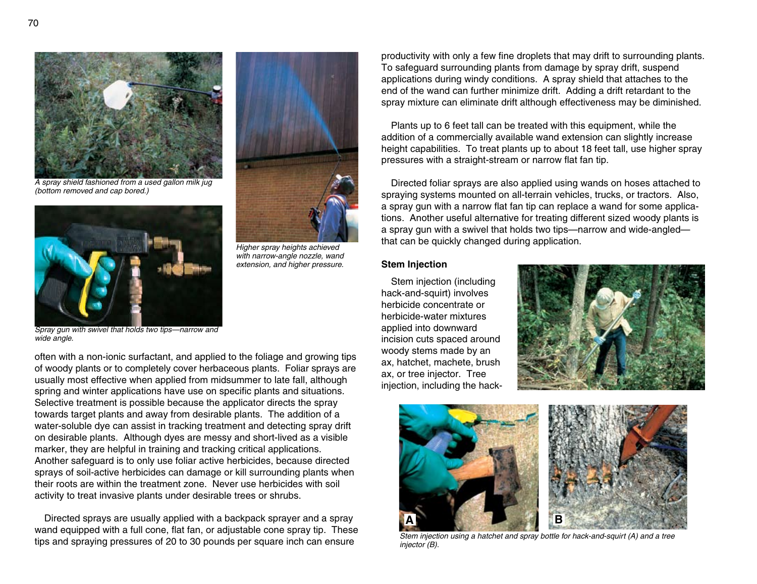

*A spray shield fashioned from a used gallon milk jug (bottom removed and cap bored.)*



*Higher spray heights achieved with narrow-angle nozzle, wand extension, and higher pressure.*

*Spray gun with swivel that holds two tips—narrow and wide angle.*

often with a non-ionic surfactant, and applied to the foliage and growing tips of woody plants or to completely cover herbaceous plants. Foliar sprays are usually most effective when applied from midsummer to late fall, although spring and winter applications have use on specific plants and situations. Selective treatment is possible because the applicator directs the spray towards target plants and away from desirable plants. The addition of a water-soluble dye can assist in tracking treatment and detecting spray drift on desirable plants. Although dyes are messy and short-lived as a visible marker, they are helpful in training and tracking critical applications. Another safeguard is to only use foliar active herbicides, because directed sprays of soil-active herbicides can damage or kill surrounding plants when their roots are within the treatment zone. Never use herbicides with soil activity to treat invasive plants under desirable trees or shrubs.

Directed sprays are usually applied with a backpack sprayer and a spray wand equipped with a full cone, flat fan, or adjustable cone spray tip. These tips and spraying pressures of 20 to 30 pounds per square inch can ensure

productivity with only a few fine droplets that may drift to surrounding plants. To safeguard surrounding plants from damage by spray drift, suspend applications during windy conditions. A spray shield that attaches to the end of the wand can further minimize drift. Adding a drift retardant to the spray mixture can eliminate drift although effectiveness may be diminished.

Plants up to 6 feet tall can be treated with this equipment, while the addition of a commercially available wand extension can slightly increase height capabilities. To treat plants up to about 18 feet tall, use higher spray pressures with a straight-stream or narrow flat fan tip.

Directed foliar sprays are also applied using wands on hoses attached to spraying systems mounted on all-terrain vehicles, trucks, or tractors. Also, a spray gun with a narrow flat fan tip can replace a wand for some applications. Another useful alternative for treating different sized woody plants is a spray gun with a swivel that holds two tips—narrow and wide-angled that can be quickly changed during application.

#### **Stem Injection**

Stem injection (including hack-and-squirt) involves herbicide concentrate or herbicide-water mixtures applied into downward incision cuts spaced around woody stems made by an ax, hatchet, machete, brush ax, or tree injector. Tree injection, including the hack-





*Stem injection using a hatchet and spray bottle for hack-and-squirt (A) and a tree injector (B).*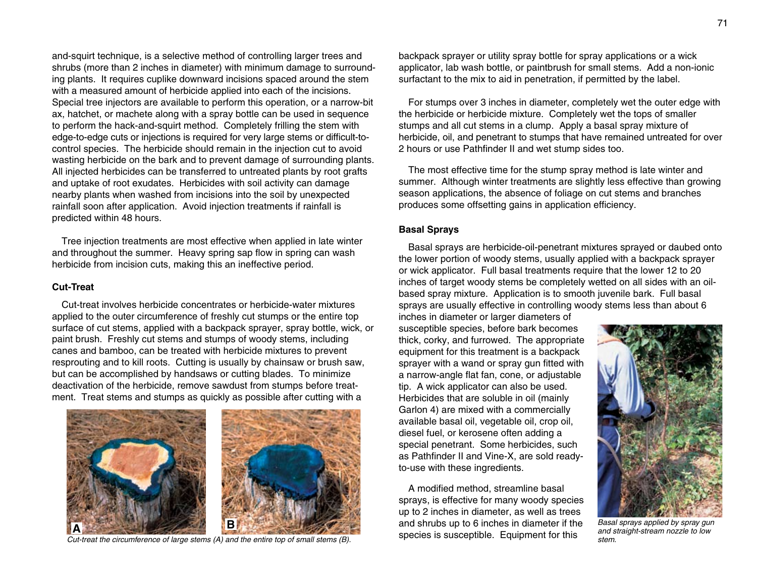and-squirt technique, is a selective method of controlling larger trees and shrubs (more than 2 inches in diameter) with minimum damage to surround ing plants. It requires cuplike downward incisions spaced around the stem with a measured amount of herbicide applied into each of the incisions. Special tree injectors are available to perform this operation, or a narrow-bit ax, hatchet, or machete along with a spray bottle can be used in sequence to perform the hack-and-squirt method. Completely frilling the stem with edge-to-edge cuts or injections is required for very large stems or difficult-tocontrol species. The herbicide should remain in the injection cut to avoid wasting herbicide on the bark and to prevent damage of surrounding plants. All injected herbicides can be transferred to untreated plants by root grafts and uptake of root exudates. Herbicides with soil activity can damage nearby plants when washed from incisions into the soil by unexpected rainfall soon after application. Avoid injection treatments if rainfall is predicted within 48 hours.

Tree injection treatments are most effective when applied in late winter and throughout the summer. Heavy spring sap flow in spring can wash herbicide from incision cuts, making this an ineffective period.

#### **Cut-Treat**

Cut-treat involves herbicide concentrates or herbicide-water mixtures applied to the outer circumference of freshly cut stumps or the entire top surface of cut stems, applied with a backpack sprayer, spray bottle, wick, or paint brush. Freshly cut stems and stumps of woody stems, including canes and bamboo, can be treated with herbicide mixtures to prevent resprouting and to kill roots. Cutting is usually by chainsaw or brush saw, but can be accomplished by handsaws or cutting blades. To minimize deactivation of the herbicide, remove sawdust from stumps before treatment. Treat stems and stumps as quickly as possible after cutting with a



species is susceptible. Equipment for this *Cut-treat the circumference of large stems (A) and the entire top of small stems (B).*

backpack sprayer or utility spray bottle for spray applications or a wick applicator, lab wash bottle, or paintbrush for small stems. Add a non-ionic surfactant to the mix to aid in penetration, if permitted by the label.

For stumps over 3 inches in diameter, completely wet the outer edge with the herbicide or herbicide mixture. Completely wet the tops of smaller stumps and all cut stems in a clump. Apply a basal spray mixture of herbicide, oil, and penetrant to stumps that have remained untreated for over 2 hours or use Pathfinder II and wet stump sides too.

The most effective time for the stump spray method is late winter and summer. Although winter treatments are slightly less effective than growing season applications, the absence of foliage on cut stems and branches produces some offsetting gains in application efficiency.

#### **Basal Sprays**

Basal sprays are herbicide-oil-penetrant mixtures sprayed or daubed onto the lower portion of woody stems, usually applied with a backpack sprayer or wick applicator. Full basal treatments require that the lower 12 to 20 inches of target woody stems be completely wetted on all sides with an oilbased spray mixture. Application is to smooth juvenile bark. Full basal sprays are usually effective in controlling woody stems less than about 6

inches in diameter or larger diameters of susceptible species, before bark becomes thick, corky, and furrowed. The appropriate equipment for this treatment is a backpack sprayer with a wand or spray gun fitted with a narrow-angle flat fan, cone, or adjustable tip. A wick applicator can also be used. Herbicides that are soluble in oil (mainly Garlon 4) are mixed with a commercially available basal oil, vegetable oil, crop oil, diesel fuel, or kerosene often adding a special penetrant. Some herbicides, such as Pathfinder II and Vine-X, are sold readyto-use with these ingredients.

A modified method, streamline basal sprays, is effective for many woody species up to 2 inches in diameter, as well as trees



*and straight-stream nozzle to low stem.*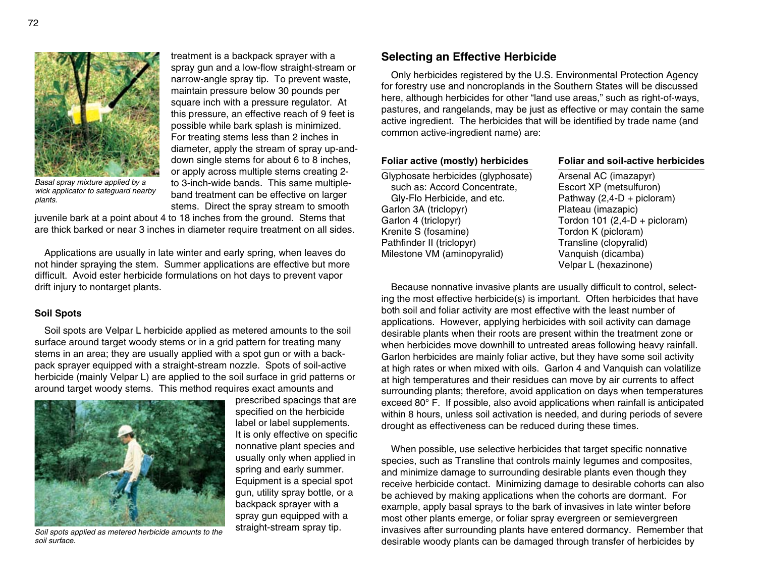

*Basal spray mixture applied by a wick applicator to safeguard nearby plants.*

treatment is a backpack sprayer with a spray gun and a low-flow straight-stream or narrow-angle spray tip. To prevent waste, maintain pressure below 30 pounds per square inch with a pressure regulator. At this pressure, an effective reach of 9 feet is possible while bark splash is minimized. For treating stems less than 2 inches in diameter, apply the stream of spray up-anddown single stems for about 6 to 8 inches, or apply across multiple stems creating 2 to 3-inch-wide bands. This same multipleband treatment can be effective on larger stems. Direct the spray stream to smooth

juvenile bark at a point about 4 to 18 inches from the ground. Stems that are thick barked or near 3 inches in diameter require treatment on all sides.

Applications are usually in late winter and early spring, when leaves do not hinder spraying the stem. Summer applications are effective but more difficult. Avoid ester herbicide formulations on hot days to prevent vapor drift injury to nontarget plants.

#### **Soil Spots**

Soil spots are Velpar L herbicide applied as metered amounts to the soil surface around target woody stems or in a grid pattern for treating many stems in an area; they are usually applied with a spot gun or with a backpack sprayer equipped with a straight-stream nozzle. Spots of soil-active herbicide (mainly Velpar L) are applied to the soil surface in grid patterns or around target woody stems. This method requires exact amounts and



*Soil spots applied as metered herbicide amounts to the soil surface.*

prescribed spacings that are specified on the herbicide label or label supplements. It is only effective on specific nonnative plant species and usually only when applied in spring and early summer. Equipment is a special spot gun, utility spray bottle, or a backpack sprayer with a spray gun equipped with a straight-stream spray tip.

### **Selecting an Effective Herbicide**

Only herbicides registered by the U.S. Environmental Protection Agency for forestry use and noncroplands in the Southern States will be discussed here, although herbicides for other "land use areas," such as right-of-ways, pastures, and rangelands, may be just as effective or may contain the same active ingredient. The herbicides that will be identified by trade name (and common active-ingredient name) are:

Glyphosate herbicides (glyphosate) Arsenal AC (imazapyr) such as: Accord Concentrate, Escort XP (metsulfuron) Gly-Flo Herbicide, and etc.  $P$ athway (2,4-D + picloram) Garlon 3A (triclopyr) Plateau (imazapic) Garlon 4 (triclopyr) Tordon 101 (2,4-D + picloram) Krenite S (fosamine) Tordon K (picloram) Pathfinder II (triclopyr) Transline (clopyralid) Milestone VM (aminopyralid) Vanquish (dicamba)

#### **Foliar active (mostly) herbicides Foliar and soil-active herbicides**

Velpar L (hexazinone)

Because nonnative invasive plants are usually difficult to control, select ing the most effective herbicide(s) is important. Often herbicides that have both soil and foliar activity are most effective with the least number of applications. However, applying herbicides with soil activity can damage desirable plants when their roots are present within the treatment zone or when herbicides move downhill to untreated areas following heavy rainfall. Garlon herbicides are mainly foliar active, but they have some soil activity at high rates or when mixed with oils. Garlon 4 and Vanquish can volatilize at high temperatures and their residues can move by air currents to affect surrounding plants; therefore, avoid application on days when temperatures exceed 80° F. If possible, also avoid applications when rainfall is anticipated within 8 hours, unless soil activation is needed, and during periods of severe drought as effectiveness can be reduced during these times.

When possible, use selective herbicides that target specific nonnative species, such as Transline that controls mainly legumes and composites, and minimize damage to surrounding desirable plants even though they receive herbicide contact. Minimizing damage to desirable cohorts can also be achieved by making applications when the cohorts are dormant. For example, apply basal sprays to the bark of invasives in late winter before most other plants emerge, or foliar spray evergreen or semievergreen invasives after surrounding plants have entered dormancy. Remember that desirable woody plants can be damaged through transfer of herbicides by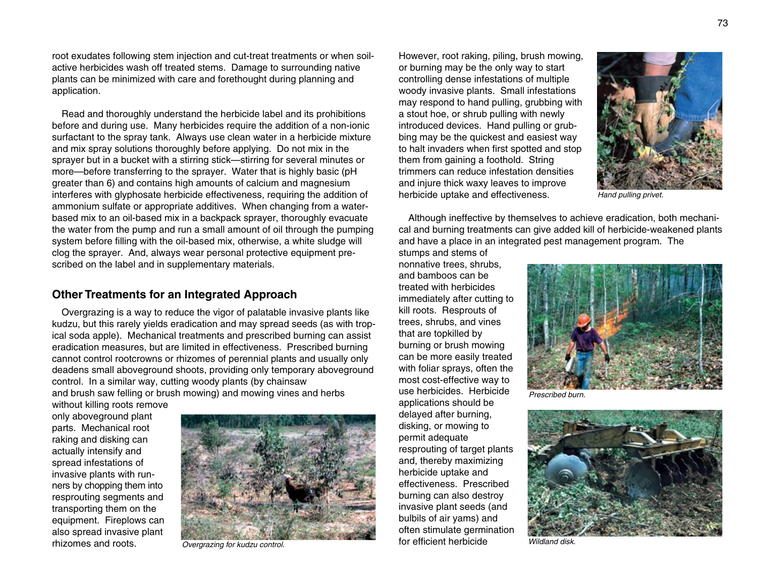root exudates following stem injection and cut-treat treatments or when soilactive herbicides wash off treated stems. Damage to surrounding native plants can be minimized with care and forethought during planning and application.

Read and thoroughly understand the herbicide label and its prohibitions before and during use. Many herbicides require the addition of a non-ionic surfactant to the spray tank. Always use clean water in a herbicide mixture and mix spray solutions thoroughly before applying. Do not mix in the sprayer but in a bucket with a stirring stick—stirring for several minutes or more—before transferring to the sprayer. Water that is highly basic (pH greater than 6) and contains high amounts of calcium and magnesium interferes with glyphosate herbicide effectiveness, requiring the addition of ammonium sulfate or appropriate additives. When changing from a waterbased mix to an oil-based mix in a backpack sprayer, thoroughly evacuate the water from the pump and run a small amount of oil through the pumping system before filling with the oil-based mix, otherwise, a white sludge will clog the sprayer. And, always wear personal protective equipment prescribed on the label and in supplementary materials.

# **Other Treatments for an Integrated Approach**

Overgrazing is a way to reduce the vigor of palatable invasive plants like kudzu, but this rarely yields eradication and may spread seeds (as with trop ical soda apple). Mechanical treatments and prescribed burning can assist eradication measures, but are limited in effectiveness. Prescribed burning cannot control rootcrowns or rhizomes of perennial plants and usually only deadens small aboveground shoots, providing only temporary aboveground control. In a similar way, cutting woody plants (by chainsaw and brush saw felling or brush mowing) and mowing vines and herbs

without killing roots remove only aboveground plant parts. Mechanical root raking and disking can actually intensify and spread infestations of invasive plants with runners by chopping them into resprouting segments and transporting them on the equipment. Fireplows can also spread invasive plant rhizomes and roots.



However, root raking, piling, brush mowing, or burning may be the only way to start controlling dense infestations of multiple woody invasive plants. Small infestations may respond to hand pulling, grubbing with a stout hoe, or shrub pulling with newly introduced devices. Hand pulling or grubbing may be the quickest and easiest way to halt invaders when first spotted and stop them from gaining a foothold. String trimmers can reduce infestation densities and injure thick waxy leaves to improve herbicide uptake and effectiveness.



*Hand pulling privet.*

Although ineffective by themselves to achieve eradication, both mechanical and burning treatments can give added kill of herbicide-weakened plants and have a place in an integrated pest management program. The

stumps and stems of nonnative trees, shrubs, and bamboos can be treated with herbicides immediately after cutting to kill roots. Resprouts of trees, shrubs, and vines that are topkilled by burning or brush mowing can be more easily treated with foliar sprays, often the most cost-effective way to use herbicides. Herbicide applications should be delayed after burning, disking, or mowing to permit adequate resprouting of target plants and, thereby maximizing herbicide uptake and effectiveness. Prescribed burning can also destroy invasive plant seeds (and bulbils of air yams) and often stimulate germination



*Prescribed burn.*

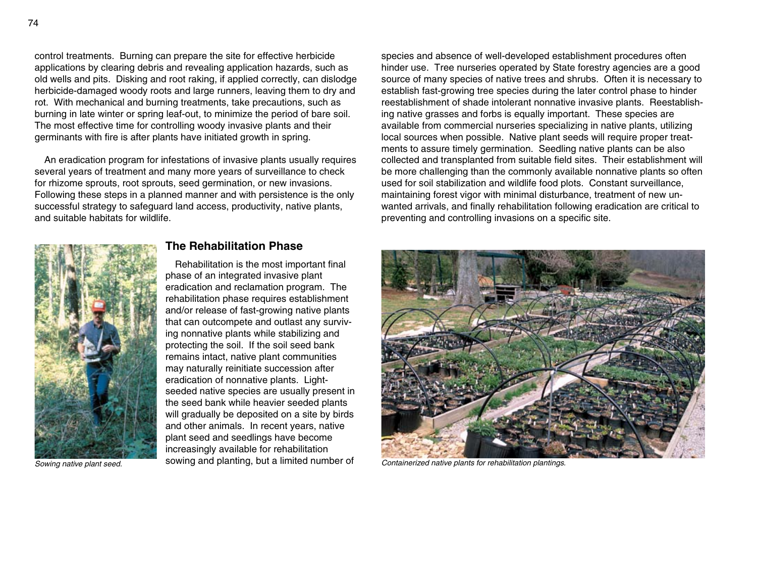control treatments. Burning can prepare the site for effective herbicide applications by clearing debris and revealing application hazards, such as old wells and pits. Disking and root raking, if applied correctly, can dislodge herbicide-damaged woody roots and large runners, leaving them to dry and rot. With mechanical and burning treatments, take precautions, such as burning in late winter or spring leaf-out, to minimize the period of bare soil. The most effective time for controlling woody invasive plants and their germinants with fire is after plants have initiated growth in spring.

An eradication program for infestations of invasive plants usually requires several years of treatment and many more years of surveillance to check for rhizome sprouts, root sprouts, seed germination, or new invasions. Following these steps in a planned manner and with persistence is the only successful strategy to safeguard land access, productivity, native plants, and suitable habitats for wildlife.



*Sowing native plant seed.*

#### **The Rehabilitation Phase**

Rehabilitation is the most important final phase of an integrated invasive plant eradication and reclamation program. The rehabilitation phase requires establishment and/or release of fast-growing native plants that can outcompete and outlast any surviv ing nonnative plants while stabilizing and protecting the soil. If the soil seed bank remains intact, native plant communities may naturally reinitiate succession after eradication of nonnative plants. Lightseeded native species are usually present in the seed bank while heavier seeded plants will gradually be deposited on a site by birds and other animals. In recent years, native plant seed and seedlings have become increasingly available for rehabilitation sowing and planting, but a limited number of *Containerized native plants for rehabilitation plantings.*

species and absence of well-developed establishment procedures often hinder use. Tree nurseries operated by State forestry agencies are a good source of many species of native trees and shrubs. Often it is necessary to establish fast-growing tree species during the later control phase to hinder reestablishment of shade intolerant nonnative invasive plants. Reestablish ing native grasses and forbs is equally important. These species are available from commercial nurseries specializing in native plants, utilizing local sources when possible. Native plant seeds will require proper treatments to assure timely germination. Seedling native plants can be also collected and transplanted from suitable field sites. Their establishment will be more challenging than the commonly available nonnative plants so often used for soil stabilization and wildlife food plots. Constant surveillance, maintaining forest vigor with minimal disturbance, treatment of new unwanted arrivals, and finally rehabilitation following eradication are critical to preventing and controlling invasions on a specific site.

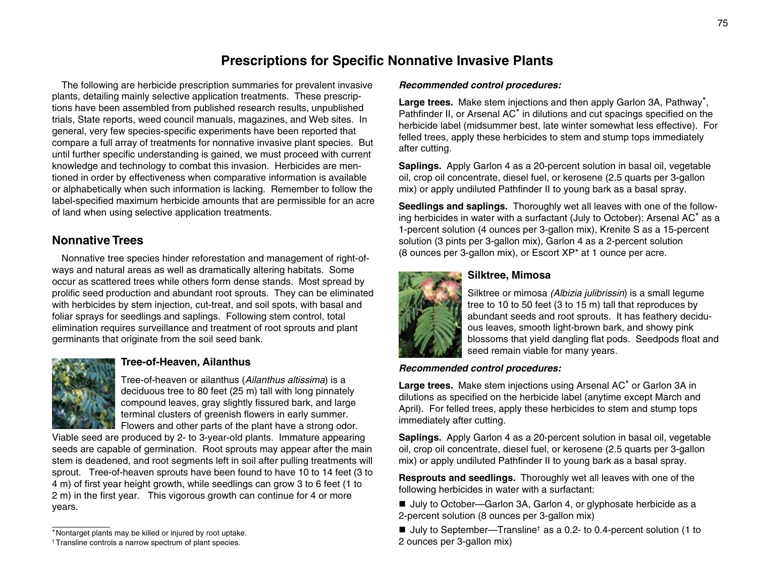# **Prescriptions for Specific Nonnative Invasive Plants**

The following are herbicide prescription summaries for prevalent invasive plants, detailing mainly selective application treatments. These prescriptions have been assembled from published research results, unpublished trials, State reports, weed council manuals, magazines, and Web sites. In general, very few species-specific experiments have been reported that compare a full array of treatments for nonnative invasive plant species. But until further specific understanding is gained, we must proceed with current knowledge and technology to combat this invasion. Herbicides are mentioned in order by effectiveness when comparative information is available or alphabetically when such information is lacking. Remember to follow the label-specified maximum herbicide amounts that are permissible for an acre of land when using selective application treatments.

# **Nonnative Trees**

Nonnative tree species hinder reforestation and management of right-ofways and natural areas as well as dramatically altering habitats. Some occur as scattered trees while others form dense stands. Most spread by prolific seed production and abundant root sprouts. They can be eliminated with herbicides by stem injection, cut-treat, and soil spots, with basal and foliar sprays for seedlings and saplings. Following stem control, total elimination requires surveillance and treatment of root sprouts and plant germinants that originate from the soil seed bank.



# **Tree-of-Heaven, Ailanthus**

Tree-of-heaven or ailanthus (*Ailanthus altissima*) is a deciduous tree to 80 feet (25 m) tall with long pinnately compound leaves, gray slightly fissured bark, and large terminal clusters of greenish flowers in early summer. Flowers and other parts of the plant have a strong odor.

Viable seed are produced by 2- to 3-year-old plants. Immature appearing seeds are capable of germination. Root sprouts may appear after the main stem is deadened, and root segments left in soil after pulling treatments will sprout. Tree-of-heaven sprouts have been found to have 10 to 14 feet (3 to 4 m) of first year height growth, while seedlings can grow 3 to 6 feet (1 to 2 m) in the first year. This vigorous growth can continue for 4 or more years.

#### *Recommended control procedures:*

**Large trees.** Make stem injections and then apply Garlon 3A, Pathway\*, Pathfinder II, or Arsenal AC<sup>\*</sup> in dilutions and cut spacings specified on the herbicide label (midsummer best, late winter somewhat less effective). For felled trees, apply these herbicides to stem and stump tops immediately after cutting.

**Saplings.** Apply Garlon 4 as a 20-percent solution in basal oil, vegetable oil, crop oil concentrate, diesel fuel, or kerosene (2.5 quarts per 3-gallon mix) or apply undiluted Pathfinder II to young bark as a basal spray.

**Seedlings and saplings.** Thoroughly wet all leaves with one of the follow ing herbicides in water with a surfactant (July to October): Arsenal AC\* as a 1-percent solution (4 ounces per 3-gallon mix), Krenite S as a 15-percent solution (3 pints per 3-gallon mix), Garlon 4 as a 2-percent solution (8 ounces per 3-gallon mix), or Escort XP\* at 1 ounce per acre.



## **Silktree, Mimosa**

Silktree or mimosa *(Albizia julibrissin*) is a small legume tree to 10 to 50 feet (3 to 15 m) tall that reproduces by abundant seeds and root sprouts. It has feathery deciduous leaves, smooth light-brown bark, and showy pink blossoms that yield dangling flat pods. Seedpods float and seed remain viable for many years.

#### *Recommended control procedures:*

**Large trees.** Make stem injections using Arsenal AC\* or Garlon 3A in dilutions as specified on the herbicide label (anytime except March and April). For felled trees, apply these herbicides to stem and stump tops immediately after cutting.

**Saplings.** Apply Garlon 4 as a 20-percent solution in basal oil, vegetable oil, crop oil concentrate, diesel fuel, or kerosene (2.5 quarts per 3-gallon mix) or apply undiluted Pathfinder II to young bark as a basal spray.

**Resprouts and seedlings.** Thoroughly wet all leaves with one of the following herbicides in water with a surfactant:

■ July to October—Garlon 3A, Garlon 4, or glyphosate herbicide as a 2-percent solution (8 ounces per 3-gallon mix)

■ July to September—Transline<sup>†</sup> as a 0.2- to 0.4-percent solution (1 to 2 ounces per 3-gallon mix)

<sup>\*</sup>Nontarget plants may be killed or injured by root uptake.

<sup>†</sup> Transline controls a narrow spectrum of plant species.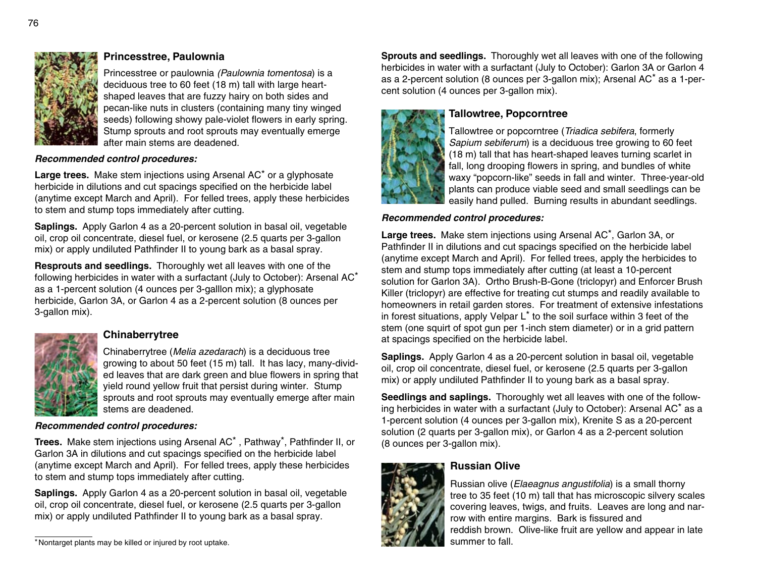

# **Princesstree, Paulownia**

Princesstree or paulownia *(Paulownia tomentosa*) is a deciduous tree to 60 feet (18 m) tall with large heartshaped leaves that are fuzzy hairy on both sides and pecan-like nuts in clusters (containing many tiny winged seeds) following showy pale-violet flowers in early spring. Stump sprouts and root sprouts may eventually emerge after main stems are deadened.

#### *Recommended control procedures:*

**Large trees.** Make stem injections using Arsenal AC\* or a glyphosate herbicide in dilutions and cut spacings specified on the herbicide label (anytime except March and April). For felled trees, apply these herbicides to stem and stump tops immediately after cutting.

**Saplings.** Apply Garlon 4 as a 20-percent solution in basal oil, vegetable oil, crop oil concentrate, diesel fuel, or kerosene (2.5 quarts per 3-gallon mix) or apply undiluted Pathfinder II to young bark as a basal spray.

**Resprouts and seedlings.** Thoroughly wet all leaves with one of the following herbicides in water with a surfactant (July to October): Arsenal AC\* as a 1-percent solution (4 ounces per 3-galllon mix); a glyphosate herbicide, Garlon 3A, or Garlon 4 as a 2-percent solution (8 ounces per 3-gallon mix).



# **Chinaberrytree**

Chinaberrytree (*Melia azedarach*) is a deciduous tree growing to about 50 feet (15 m) tall. It has lacy, many-divided leaves that are dark green and blue flowers in spring that yield round yellow fruit that persist during winter. Stump sprouts and root sprouts may eventually emerge after main stems are deadened.

#### *Recommended control procedures:*

**Trees.** Make stem injections using Arsenal AC\* , Pathway\*, Pathfinder II, or Garlon 3A in dilutions and cut spacings specified on the herbicide label (anytime except March and April). For felled trees, apply these herbicides to stem and stump tops immediately after cutting.

**Saplings.** Apply Garlon 4 as a 20-percent solution in basal oil, vegetable oil, crop oil concentrate, diesel fuel, or kerosene (2.5 quarts per 3-gallon mix) or apply undiluted Pathfinder II to young bark as a basal spray.

**Sprouts and seedlings.** Thoroughly wet all leaves with one of the following herbicides in water with a surfactant (July to October): Garlon 3A or Garlon 4 as a 2-percent solution (8 ounces per 3-gallon mix); Arsenal AC\* as a 1-percent solution (4 ounces per 3-gallon mix).



# **Tallowtree, Popcorntree**

Tallowtree or popcorntree (*Triadica sebifera*, formerly *Sapium sebiferum*) is a deciduous tree growing to 60 feet (18 m) tall that has heart-shaped leaves turning scarlet in fall, long drooping flowers in spring, and bundles of white waxy "popcorn-like" seeds in fall and winter. Three-year-old plants can produce viable seed and small seedlings can be easily hand pulled. Burning results in abundant seedlings.

#### *Recommended control procedures:*

**Large trees.** Make stem injections using Arsenal AC\*, Garlon 3A, or Pathfinder II in dilutions and cut spacings specified on the herbicide label (anytime except March and April). For felled trees, apply the herbicides to stem and stump tops immediately after cutting (at least a 10-percent solution for Garlon 3A). Ortho Brush-B-Gone (triclopyr) and Enforcer Brush Killer (triclopyr) are effective for treating cut stumps and readily available to homeowners in retail garden stores. For treatment of extensive infestations in forest situations, apply Velpar L\* to the soil surface within 3 feet of the stem (one squirt of spot gun per 1-inch stem diameter) or in a grid pattern at spacings specified on the herbicide label.

**Saplings.** Apply Garlon 4 as a 20-percent solution in basal oil, vegetable oil, crop oil concentrate, diesel fuel, or kerosene (2.5 quarts per 3-gallon mix) or apply undiluted Pathfinder II to young bark as a basal spray.

**Seedlings and saplings.** Thoroughly wet all leaves with one of the follow ing herbicides in water with a surfactant (July to October): Arsenal AC\* as a 1-percent solution (4 ounces per 3-gallon mix), Krenite S as a 20-percent solution (2 quarts per 3-gallon mix), or Garlon 4 as a 2-percent solution (8 ounces per 3-gallon mix).



# **Russian Olive**

Russian olive (*Elaeagnus angustifolia*) is a small thorny tree to 35 feet (10 m) tall that has microscopic silvery scales covering leaves, twigs, and fruits. Leaves are long and narrow with entire margins. Bark is fissured and reddish brown. Olive-like fruit are yellow and appear in late

<sup>\*</sup>Nontarget plants may be killed or injured by root uptake. Summer to fall. Summer to fall.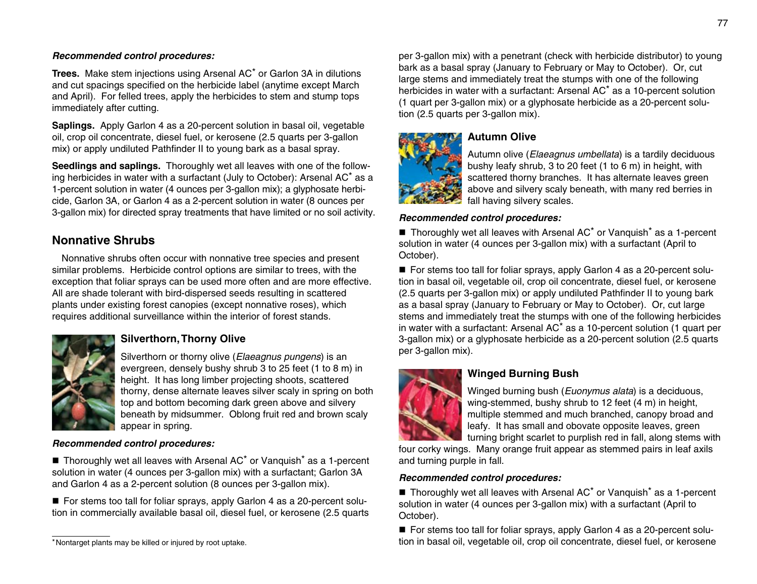#### *Recommended control procedures:*

**Trees.** Make stem injections using Arsenal AC\* or Garlon 3A in dilutions and cut spacings specified on the herbicide label (anytime except March and April). For felled trees, apply the herbicides to stem and stump tops immediately after cutting.

**Saplings.** Apply Garlon 4 as a 20-percent solution in basal oil, vegetable oil, crop oil concentrate, diesel fuel, or kerosene (2.5 quarts per 3-gallon mix) or apply undiluted Pathfinder II to young bark as a basal spray.

**Seedlings and saplings.** Thoroughly wet all leaves with one of the follow ing herbicides in water with a surfactant (July to October): Arsenal AC\* as a 1-percent solution in water (4 ounces per 3-gallon mix); a glyphosate herbicide, Garlon 3A, or Garlon 4 as a 2-percent solution in water (8 ounces per 3-gallon mix) for directed spray treatments that have limited or no soil activity.

# **Nonnative Shrubs**

Nonnative shrubs often occur with nonnative tree species and present similar problems. Herbicide control options are similar to trees, with the exception that foliar sprays can be used more often and are more effective. All are shade tolerant with bird-dispersed seeds resulting in scattered plants under existing forest canopies (except nonnative roses), which requires additional surveillance within the interior of forest stands.



# **Silverthorn, Thorny Olive**

Silverthorn or thorny olive (*Elaeagnus pungens*) is an evergreen, densely bushy shrub 3 to 25 feet (1 to 8 m) in height. It has long limber projecting shoots, scattered thorny, dense alternate leaves silver scaly in spring on both top and bottom becoming dark green above and silvery beneath by midsummer. Oblong fruit red and brown scaly appear in spring.

#### *Recommended control procedures:*

 $\blacksquare$  Thoroughly wet all leaves with Arsenal AC<sup>\*</sup> or Vanguish<sup>\*</sup> as a 1-percent solution in water (4 ounces per 3-gallon mix) with a surfactant; Garlon 3A and Garlon 4 as a 2-percent solution (8 ounces per 3-gallon mix).

■ For stems too tall for foliar sprays, apply Garlon 4 as a 20-percent solution in commercially available basal oil, diesel fuel, or kerosene (2.5 quarts

per 3-gallon mix) with a penetrant (check with herbicide distributor) to young bark as a basal spray (January to February or May to October). Or, cut large stems and immediately treat the stumps with one of the following herbicides in water with a surfactant: Arsenal AC\* as a 10-percent solution (1 quart per 3-gallon mix) or a glyphosate herbicide as a 20-percent solution (2.5 quarts per 3-gallon mix).



## **Autumn Olive**

Autumn olive (*Elaeagnus umbellata*) is a tardily deciduous bushy leafy shrub, 3 to 20 feet (1 to 6 m) in height, with scattered thorny branches. It has alternate leaves green above and silvery scaly beneath, with many red berries in fall having silvery scales.

## *Recommended control procedures:*

 $\blacksquare$  Thoroughly wet all leaves with Arsenal AC<sup>\*</sup> or Vanguish<sup>\*</sup> as a 1-percent solution in water (4 ounces per 3-gallon mix) with a surfactant (April to October).

■ For stems too tall for foliar sprays, apply Garlon 4 as a 20-percent solution in basal oil, vegetable oil, crop oil concentrate, diesel fuel, or kerosene (2.5 quarts per 3-gallon mix) or apply undiluted Pathfinder II to young bark as a basal spray (January to February or May to October). Or, cut large stems and immediately treat the stumps with one of the following herbicides in water with a surfactant: Arsenal AC\* as a 10-percent solution (1 quart per 3-gallon mix) or a glyphosate herbicide as a 20-percent solution (2.5 quarts per 3-gallon mix).



# **Winged Burning Bush**

Winged burning bush (*Euonymus alata*) is a deciduous, wing-stemmed, bushy shrub to 12 feet (4 m) in height, multiple stemmed and much branched, canopy broad and leafy. It has small and obovate opposite leaves, green turning bright scarlet to purplish red in fall, along stems with

four corky wings. Many orange fruit appear as stemmed pairs in leaf axils and turning purple in fall.

#### *Recommended control procedures:*

 $\blacksquare$  Thoroughly wet all leaves with Arsenal AC<sup>\*</sup> or Vanguish<sup>\*</sup> as a 1-percent solution in water (4 ounces per 3-gallon mix) with a surfactant (April to October).

■ For stems too tall for foliar sprays, apply Garlon 4 as a 20-percent solu-\*Nontarget plants may be killed or injured by root uptake. The state of the state of the state of the state of the state of the state of the state of the state of the state of the state of the state of the state of the sta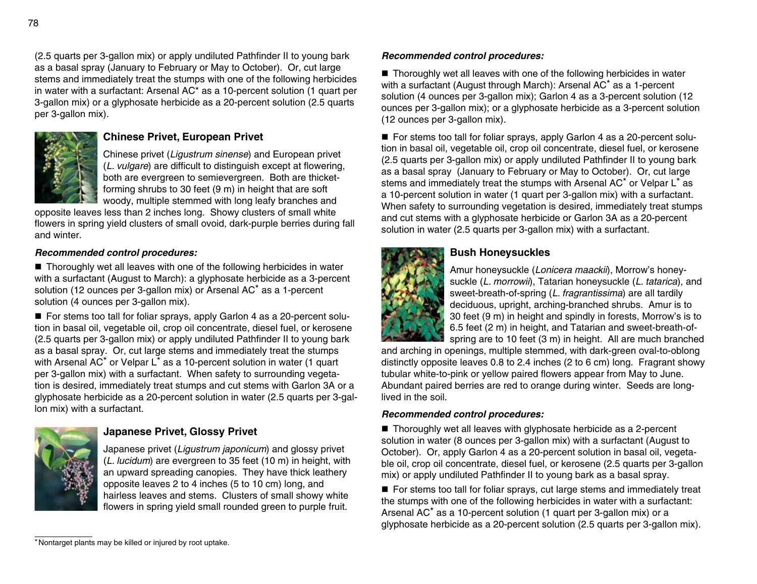(2.5 quarts per 3-gallon mix) or apply undiluted Pathfinder II to young bark as a basal spray (January to February or May to October). Or, cut large stems and immediately treat the stumps with one of the following herbicides in water with a surfactant: Arsenal AC\* as a 10-percent solution (1 quart per 3-gallon mix) or a glyphosate herbicide as a 20-percent solution (2.5 quarts per 3-gallon mix).



## **Chinese Privet, European Privet**

Chinese privet (*Ligustrum sinense*) and European privet (*L. vulgare*) are difficult to distinguish except at flowering, both are evergreen to semievergreen. Both are thicketforming shrubs to 30 feet (9 m) in height that are soft woody, multiple stemmed with long leafy branches and

opposite leaves less than 2 inches long. Showy clusters of small white flowers in spring yield clusters of small ovoid, dark-purple berries during fall and winter.

## *Recommended control procedures:*

 $\blacksquare$  Thoroughly wet all leaves with one of the following herbicides in water with a surfactant (August to March): a glyphosate herbicide as a 3-percent solution (12 ounces per 3-gallon mix) or Arsenal AC\* as a 1-percent solution (4 ounces per 3-gallon mix).

■ For stems too tall for foliar sprays, apply Garlon 4 as a 20-percent solution in basal oil, vegetable oil, crop oil concentrate, diesel fuel, or kerosene (2.5 quarts per 3-gallon mix) or apply undiluted Pathfinder II to young bark as a basal spray. Or, cut large stems and immediately treat the stumps with Arsenal AC<sup>\*</sup> or Velpar L<sup>\*</sup> as a 10-percent solution in water (1 quart per 3-gallon mix) with a surfactant. When safety to surrounding vegetation is desired, immediately treat stumps and cut stems with Garlon 3A or a glyphosate herbicide as a 20-percent solution in water (2.5 quarts per 3-gallon mix) with a surfactant.



# **Japanese Privet, Glossy Privet**

Japanese privet (*Ligustrum japonicum*) and glossy privet (*L. lucidum*) are evergreen to 35 feet (10 m) in height, with an upward spreading canopies. They have thick leathery opposite leaves 2 to 4 inches (5 to 10 cm) long, and hairless leaves and stems. Clusters of small showy white flowers in spring yield small rounded green to purple fruit.

#### *Recommended control procedures:*

■ Thoroughly wet all leaves with one of the following herbicides in water with a surfactant (August through March): Arsenal AC<sup>\*</sup> as a 1-percent solution (4 ounces per 3-gallon mix); Garlon 4 as a 3-percent solution (12 ounces per 3-gallon mix); or a glyphosate herbicide as a 3-percent solution (12 ounces per 3-gallon mix).

■ For stems too tall for foliar sprays, apply Garlon 4 as a 20-percent solution in basal oil, vegetable oil, crop oil concentrate, diesel fuel, or kerosene (2.5 quarts per 3-gallon mix) or apply undiluted Pathfinder II to young bark as a basal spray (January to February or May to October). Or, cut large stems and immediately treat the stumps with Arsenal AC\* or Velpar L\* as a 10-percent solution in water (1 quart per 3-gallon mix) with a surfactant. When safety to surrounding vegetation is desired, immediately treat stumps and cut stems with a glyphosate herbicide or Garlon 3A as a 20-percent solution in water (2.5 quarts per 3-gallon mix) with a surfactant.



# **Bush Honeysuckles**

Amur honeysuckle (*Lonicera maackii*), Morrow's honeysuckle (*L. morrowii*), Tatarian honeysuckle (*L. tatarica*), and sweet-breath-of-spring (*L. fragrantissima*) are all tardily deciduous, upright, arching-branched shrubs. Amur is to 30 feet (9 m) in height and spindly in forests, Morrow's is to 6.5 feet (2 m) in height, and Tatarian and sweet-breath-ofspring are to 10 feet (3 m) in height. All are much branched

and arching in openings, multiple stemmed, with dark-green oval-to-oblong distinctly opposite leaves 0.8 to 2.4 inches (2 to 6 cm) long. Fragrant showy tubular white-to-pink or yellow paired flowers appear from May to June. Abundant paired berries are red to orange during winter. Seeds are longlived in the soil.

#### *Recommended control procedures:*

 $\blacksquare$  Thoroughly wet all leaves with glyphosate herbicide as a 2-percent solution in water (8 ounces per 3-gallon mix) with a surfactant (August to October). Or, apply Garlon 4 as a 20-percent solution in basal oil, vegetable oil, crop oil concentrate, diesel fuel, or kerosene (2.5 quarts per 3-gallon mix) or apply undiluted Pathfinder II to young bark as a basal spray.

■ For stems too tall for foliar sprays, cut large stems and immediately treat the stumps with one of the following herbicides in water with a surfactant: Arsenal AC\* as a 10-percent solution (1 quart per 3-gallon mix) or a glyphosate herbicide as a 20-percent solution (2.5 quarts per 3-gallon mix).

<sup>\*</sup>Nontarget plants may be killed or injured by root uptake.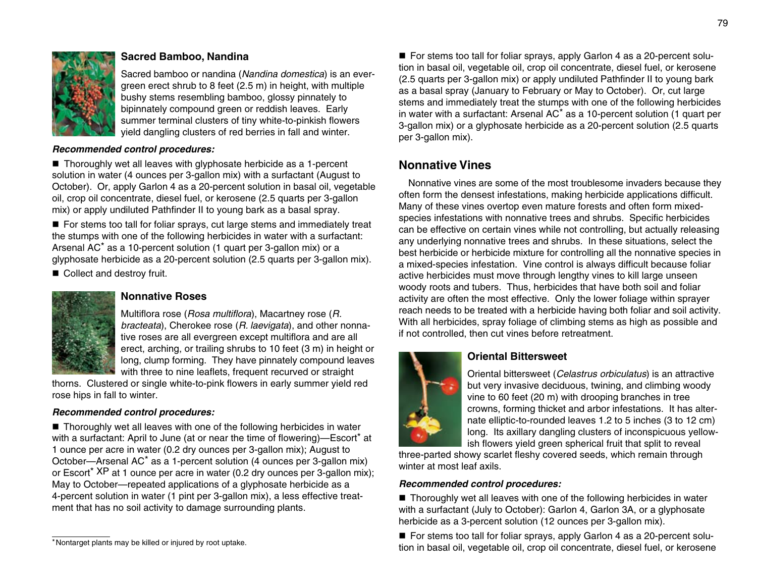

# **Sacred Bamboo, Nandina**

Sacred bamboo or nandina (*Nandina domestica*) is an evergreen erect shrub to 8 feet (2.5 m) in height, with multiple bushy stems resembling bamboo, glossy pinnately to bipinnately compound green or reddish leaves. Early summer terminal clusters of tiny white-to-pinkish flowers yield dangling clusters of red berries in fall and winter.

#### *Recommended control procedures:*

 $\blacksquare$  Thoroughly wet all leaves with glyphosate herbicide as a 1-percent solution in water (4 ounces per 3-gallon mix) with a surfactant (August to October). Or, apply Garlon 4 as a 20-percent solution in basal oil, vegetable oil, crop oil concentrate, diesel fuel, or kerosene (2.5 quarts per 3-gallon mix) or apply undiluted Pathfinder II to young bark as a basal spray.

■ For stems too tall for foliar sprays, cut large stems and immediately treat the stumps with one of the following herbicides in water with a surfactant: Arsenal AC\* as a 10-percent solution (1 quart per 3-gallon mix) or a glyphosate herbicide as a 20-percent solution (2.5 quarts per 3-gallon mix).

■ Collect and destroy fruit.



## **Nonnative Roses**

Multiflora rose (*Rosa multiflora*), Macartney rose (*R. bracteata*), Cherokee rose (*R. laevigata*), and other nonnative roses are all evergreen except multiflora and are all erect, arching, or trailing shrubs to 10 feet (3 m) in height or long, clump forming. They have pinnately compound leaves with three to nine leaflets, frequent recurved or straight

thorns. Clustered or single white-to-pink flowers in early summer yield red rose hips in fall to winter.

#### *Recommended control procedures:*

■ Thoroughly wet all leaves with one of the following herbicides in water with a surfactant: April to June (at or near the time of flowering)—Escort<sup>\*</sup> at 1 ounce per acre in water (0.2 dry ounces per 3-gallon mix); August to October—Arsenal AC\* as a 1-percent solution (4 ounces per 3-gallon mix) or Escort\* XP at 1 ounce per acre in water (0.2 dry ounces per 3-gallon mix); May to October—repeated applications of a glyphosate herbicide as a 4-percent solution in water (1 pint per 3-gallon mix), a less effective treatment that has no soil activity to damage surrounding plants.

■ For stems too tall for foliar sprays, apply Garlon 4 as a 20-percent solution in basal oil, vegetable oil, crop oil concentrate, diesel fuel, or kerosene (2.5 quarts per 3-gallon mix) or apply undiluted Pathfinder II to young bark as a basal spray (January to February or May to October). Or, cut large stems and immediately treat the stumps with one of the following herbicides in water with a surfactant: Arsenal AC\* as a 10-percent solution (1 quart per 3-gallon mix) or a glyphosate herbicide as a 20-percent solution (2.5 quarts per 3-gallon mix).

# **Nonnative Vines**

Nonnative vines are some of the most troublesome invaders because they often form the densest infestations, making herbicide applications difficult. Many of these vines overtop even mature forests and often form mixedspecies infestations with nonnative trees and shrubs. Specific herbicides can be effective on certain vines while not controlling, but actually releasing any underlying nonnative trees and shrubs. In these situations, select the best herbicide or herbicide mixture for controlling all the nonnative species in a mixed-species infestation. Vine control is always difficult because foliar active herbicides must move through lengthy vines to kill large unseen woody roots and tubers. Thus, herbicides that have both soil and foliar activity are often the most effective. Only the lower foliage within sprayer reach needs to be treated with a herbicide having both foliar and soil activity. With all herbicides, spray foliage of climbing stems as high as possible and if not controlled, then cut vines before retreatment.



# **Oriental Bittersweet**

Oriental bittersweet (*Celastrus orbiculatus*) is an attractive but very invasive deciduous, twining, and climbing woody vine to 60 feet (20 m) with drooping branches in tree crowns, forming thicket and arbor infestations. It has alternate elliptic-to-rounded leaves 1.2 to 5 inches (3 to 12 cm) long. Its axillary dangling clusters of inconspicuous yellow ish flowers yield green spherical fruit that split to reveal

three-parted showy scarlet fleshy covered seeds, which remain through winter at most leaf axils.

#### *Recommended control procedures:*

 $\blacksquare$  Thoroughly wet all leaves with one of the following herbicides in water with a surfactant (July to October): Garlon 4, Garlon 3A, or a glyphosate herbicide as a 3-percent solution (12 ounces per 3-gallon mix).

■ For stems too tall for foliar sprays, apply Garlon 4 as a 20-percent solu-\*Nontarget plants may be killed or injured by root uptake.<br>tion in basal oil, vegetable oil, crop oil concentrate, diesel fuel, or kerosene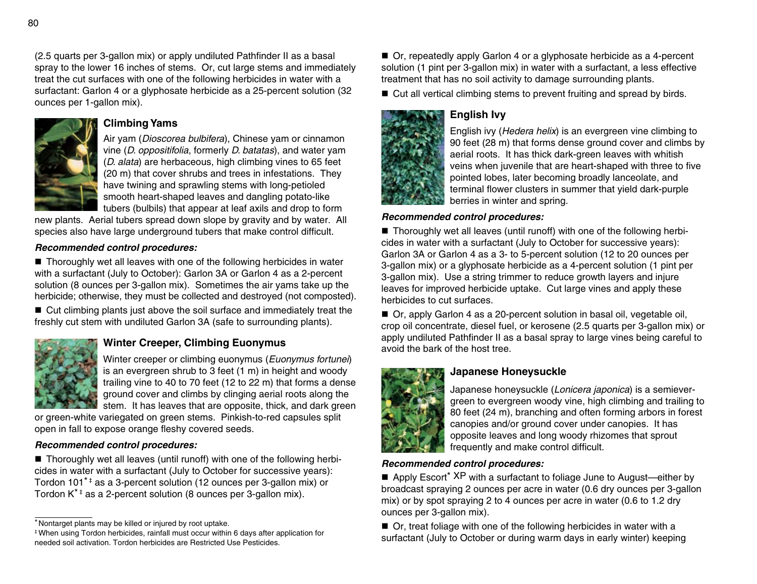(2.5 quarts per 3-gallon mix) or apply undiluted Pathfinder II as a basal spray to the lower 16 inches of stems. Or, cut large stems and immediately treat the cut surfaces with one of the following herbicides in water with a surfactant: Garlon 4 or a glyphosate herbicide as a 25-percent solution (32 ounces per 1-gallon mix).



# **Climbing Yams**

Air yam (*Dioscorea bulbifera*), Chinese yam or cinnamon vine (*D. oppositifolia*, formerly *D. batatas*), and water yam (*D. alata*) are herbaceous, high climbing vines to 65 feet (20 m) that cover shrubs and trees in infestations. They have twining and sprawling stems with long-petioled smooth heart-shaped leaves and dangling potato-like tubers (bulbils) that appear at leaf axils and drop to form

new plants. Aerial tubers spread down slope by gravity and by water. All species also have large underground tubers that make control difficult.

# *Recommended control procedures:*

 $\blacksquare$  Thoroughly wet all leaves with one of the following herbicides in water with a surfactant (July to October): Garlon 3A or Garlon 4 as a 2-percent solution (8 ounces per 3-gallon mix). Sometimes the air yams take up the herbicide; otherwise, they must be collected and destroyed (not composted).

■ Cut climbing plants just above the soil surface and immediately treat the freshly cut stem with undiluted Garlon 3A (safe to surrounding plants).



# **Winter Creeper, Climbing Euonymus**

Winter creeper or climbing euonymus (*Euonymus fortunei*) is an evergreen shrub to 3 feet (1 m) in height and woody trailing vine to 40 to 70 feet (12 to 22 m) that forms a dense ground cover and climbs by clinging aerial roots along the stem. It has leaves that are opposite, thick, and dark green

or green-white variegated on green stems. Pinkish-to-red capsules split open in fall to expose orange fleshy covered seeds.

## *Recommended control procedures:*

■ Thoroughly wet all leaves (until runoff) with one of the following herbicides in water with a surfactant (July to October for successive years): Tordon 101<sup>\*+</sup> as a 3-percent solution (12 ounces per 3-gallon mix) or Tordon  $K^*$ <sup> $\ddagger$ </sup> as a 2-percent solution (8 ounces per 3-gallon mix).

■ Or, repeatedly apply Garlon 4 or a glyphosate herbicide as a 4-percent solution (1 pint per 3-gallon mix) in water with a surfactant, a less effective treatment that has no soil activity to damage surrounding plants.

 $\blacksquare$  Cut all vertical climbing stems to prevent fruiting and spread by birds.

# **English Ivy**



English ivy (*Hedera helix*) is an evergreen vine climbing to 90 feet (28 m) that forms dense ground cover and climbs by aerial roots. It has thick dark-green leaves with whitish veins when juvenile that are heart-shaped with three to five pointed lobes, later becoming broadly lanceolate, and terminal flower clusters in summer that yield dark-purple berries in winter and spring.

## *Recommended control procedures:*

 $\blacksquare$  Thoroughly wet all leaves (until runoff) with one of the following herbicides in water with a surfactant (July to October for successive years): Garlon 3A or Garlon 4 as a 3- to 5-percent solution (12 to 20 ounces per 3-gallon mix) or a glyphosate herbicide as a 4-percent solution (1 pint per 3-gallon mix). Use a string trimmer to reduce growth layers and injure leaves for improved herbicide uptake. Cut large vines and apply these herbicides to cut surfaces.

■ Or, apply Garlon 4 as a 20-percent solution in basal oil, vegetable oil, crop oil concentrate, diesel fuel, or kerosene (2.5 quarts per 3-gallon mix) or apply undiluted Pathfinder II as a basal spray to large vines being careful to avoid the bark of the host tree.

# **Japanese Honeysuckle**

Japanese honeysuckle (*Lonicera japonica*) is a semievergreen to evergreen woody vine, high climbing and trailing to 80 feet (24 m), branching and often forming arbors in forest canopies and/or ground cover under canopies. It has opposite leaves and long woody rhizomes that sprout frequently and make control difficult.

## *Recommended control procedures:*

Apply Escort<sup>\*</sup>  $XP$  with a surfactant to foliage June to August—either by broadcast spraying 2 ounces per acre in water (0.6 dry ounces per 3-gallon mix) or by spot spraying 2 to 4 ounces per acre in water (0.6 to 1.2 dry ounces per 3-gallon mix).

■ Or, treat foliage with one of the following herbicides in water with a surfactant (July to October or during warm days in early winter) keeping

<sup>\*</sup>Nontarget plants may be killed or injured by root uptake.

<sup>‡</sup> When using Tordon herbicides, rainfall must occur within 6 days after application for needed soil activation. Tordon herbicides are Restricted Use Pesticides.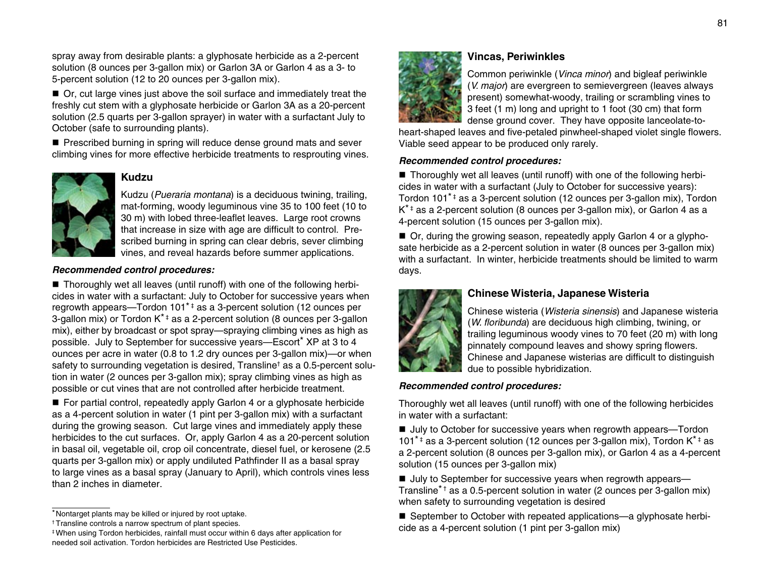spray away from desirable plants: a glyphosate herbicide as a 2-percent solution (8 ounces per 3-gallon mix) or Garlon 3A or Garlon 4 as a 3- to 5-percent solution (12 to 20 ounces per 3-gallon mix).

■ Or, cut large vines just above the soil surface and immediately treat the freshly cut stem with a glyphosate herbicide or Garlon 3A as a 20-percent solution (2.5 quarts per 3-gallon sprayer) in water with a surfactant July to October (safe to surrounding plants).

■ Prescribed burning in spring will reduce dense ground mats and sever climbing vines for more effective herbicide treatments to resprouting vines.



# **Kudzu**

Kudzu (*Pueraria montana*) is a deciduous twining, trailing, mat-forming, woody leguminous vine 35 to 100 feet (10 to 30 m) with lobed three-leaflet leaves. Large root crowns that increase in size with age are difficult to control. Prescribed burning in spring can clear debris, sever climbing vines, and reveal hazards before summer applications.

#### *Recommended control procedures:*

 $\blacksquare$  Thoroughly wet all leaves (until runoff) with one of the following herbicides in water with a surfactant: July to October for successive years when regrowth appears—Tordon 101<sup>\*</sup><sup>‡</sup> as a 3-percent solution (12 ounces per 3-gallon mix) or Tordon K<sup>\* ‡</sup> as a 2-percent solution (8 ounces per 3-gallon mix), either by broadcast or spot spray—spraying climbing vines as high as possible. July to September for successive years—Escort\* XP at 3 to 4 ounces per acre in water (0.8 to 1.2 dry ounces per 3-gallon mix)—or when safety to surrounding vegetation is desired, Transline† as a 0.5-percent solution in water (2 ounces per 3-gallon mix); spray climbing vines as high as possible or cut vines that are not controlled after herbicide treatment.

■ For partial control, repeatedly apply Garlon 4 or a glyphosate herbicide as a 4-percent solution in water (1 pint per 3-gallon mix) with a surfactant during the growing season. Cut large vines and immediately apply these herbicides to the cut surfaces. Or, apply Garlon 4 as a 20-percent solution in basal oil, vegetable oil, crop oil concentrate, diesel fuel, or kerosene (2.5 quarts per 3-gallon mix) or apply undiluted Pathfinder II as a basal spray to large vines as a basal spray (January to April), which controls vines less than 2 inches in diameter.



# **Vincas, Periwinkles**

Common periwinkle (*Vinca minor*) and bigleaf periwinkle (*V. major*) are evergreen to semievergreen (leaves always present) somewhat-woody, trailing or scrambling vines to 3 feet (1 m) long and upright to 1 foot (30 cm) that form dense ground cover. They have opposite lanceolate-to-

heart-shaped leaves and five-petaled pinwheel-shaped violet single flowers. Viable seed appear to be produced only rarely.

## *Recommended control procedures:*

 $\blacksquare$  Thoroughly wet all leaves (until runoff) with one of the following herbicides in water with a surfactant (July to October for successive years): Tordon 101<sup>\*</sup><sup>‡</sup> as a 3-percent solution (12 ounces per 3-gallon mix), Tordon  $K^*$  as a 2-percent solution (8 ounces per 3-gallon mix), or Garlon 4 as a 4-percent solution (15 ounces per 3-gallon mix).

■ Or, during the growing season, repeatedly apply Garlon 4 or a glyphosate herbicide as a 2-percent solution in water (8 ounces per 3-gallon mix) with a surfactant. In winter, herbicide treatments should be limited to warm days.



# **Chinese Wisteria, Japanese Wisteria**

Chinese wisteria (*Wisteria sinensis*) and Japanese wisteria (*W. floribunda*) are deciduous high climbing, twining, or trailing leguminous woody vines to 70 feet (20 m) with long pinnately compound leaves and showy spring flowers. Chinese and Japanese wisterias are difficult to distinguish due to possible hybridization.

# *Recommended control procedures:*

Thoroughly wet all leaves (until runoff) with one of the following herbicides in water with a surfactant:

■ July to October for successive years when regrowth appears—Tordon 101<sup>\*</sup> as a 3-percent solution (12 ounces per 3-gallon mix), Tordon  $K^*$  as a 2-percent solution (8 ounces per 3-gallon mix), or Garlon 4 as a 4-percent solution (15 ounces per 3-gallon mix)

■ July to September for successive years when regrowth appears— Transline<sup>\*†</sup> as a 0.5-percent solution in water (2 ounces per 3-gallon mix) when safety to surrounding vegetation is desired

■ September to October with repeated applications—a glyphosate herbicide as a 4-percent solution (1 pint per 3-gallon mix)

<sup>\*</sup>Nontarget plants may be killed or injured by root uptake.

<sup>†</sup> Transline controls a narrow spectrum of plant species.

<sup>‡</sup> When using Tordon herbicides, rainfall must occur within 6 days after application for needed soil activation. Tordon herbicides are Restricted Use Pesticides.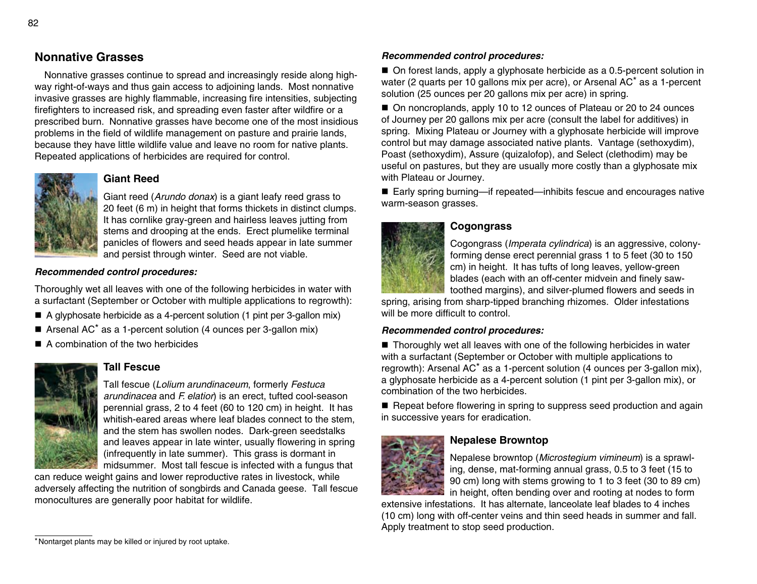# **Nonnative Grasses**

Nonnative grasses continue to spread and increasingly reside along highway right-of-ways and thus gain access to adjoining lands. Most nonnative invasive grasses are highly flammable, increasing fire intensities, subjecting firefighters to increased risk, and spreading even faster after wildfire or a prescribed burn. Nonnative grasses have become one of the most insidious problems in the field of wildlife management on pasture and prairie lands, because they have little wildlife value and leave no room for native plants. Repeated applications of herbicides are required for control.



# **Giant Reed**

Giant reed (*Arundo donax*) is a giant leafy reed grass to 20 feet (6 m) in height that forms thickets in distinct clumps. It has cornlike gray-green and hairless leaves jutting from stems and drooping at the ends. Erect plumelike terminal panicles of flowers and seed heads appear in late summer and persist through winter. Seed are not viable.

## *Recommended control procedures:*

Thoroughly wet all leaves with one of the following herbicides in water with a surfactant (September or October with multiple applications to regrowth):

- A glyphosate herbicide as a 4-percent solution (1 pint per 3-gallon mix)
- Arsenal AC<sup>\*</sup> as a 1-percent solution (4 ounces per 3-gallon mix)
- $\blacksquare$  A combination of the two herbicides



# **Tall Fescue**

Tall fescue (*Lolium arundinaceum*, formerly *Festuca arundinacea* and *F. elatior*) is an erect, tufted cool-season perennial grass, 2 to 4 feet (60 to 120 cm) in height. It has whitish-eared areas where leaf blades connect to the stem, and the stem has swollen nodes. Dark-green seedstalks and leaves appear in late winter, usually flowering in spring (infrequently in late summer). This grass is dormant in midsummer. Most tall fescue is infected with a fungus that

can reduce weight gains and lower reproductive rates in livestock, while adversely affecting the nutrition of songbirds and Canada geese. Tall fescue monocultures are generally poor habitat for wildlife.

### *Recommended control procedures:*

 $\blacksquare$  On forest lands, apply a glyphosate herbicide as a 0.5-percent solution in water (2 quarts per 10 gallons mix per acre), or Arsenal AC\* as a 1-percent solution (25 ounces per 20 gallons mix per acre) in spring.

■ On noncroplands, apply 10 to 12 ounces of Plateau or 20 to 24 ounces of Journey per 20 gallons mix per acre (consult the label for additives) in spring. Mixing Plateau or Journey with a glyphosate herbicide will improve control but may damage associated native plants. Vantage (sethoxydim), Poast (sethoxydim), Assure (quizalofop), and Select (clethodim) may be useful on pastures, but they are usually more costly than a glyphosate mix with Plateau or Journey.

■ Early spring burning—if repeated—inhibits fescue and encourages native warm-season grasses.

## **Cogongrass**



Cogongrass (*Imperata cylindrica*) is an aggressive, colonyforming dense erect perennial grass 1 to 5 feet (30 to 150 cm) in height. It has tufts of long leaves, yellow-green blades (each with an off-center midvein and finely sawtoothed margins), and silver-plumed flowers and seeds in

spring, arising from sharp-tipped branching rhizomes. Older infestations will be more difficult to control.

## *Recommended control procedures:*

■ Thoroughly wet all leaves with one of the following herbicides in water with a surfactant (September or October with multiple applications to regrowth): Arsenal AC\* as a 1-percent solution (4 ounces per 3-gallon mix), a glyphosate herbicide as a 4-percent solution (1 pint per 3-gallon mix), or combination of the two herbicides.

■ Repeat before flowering in spring to suppress seed production and again in successive years for eradication.



# **Nepalese Browntop**

Nepalese browntop (*Microstegium vimineum*) is a sprawl ing, dense, mat-forming annual grass, 0.5 to 3 feet (15 to 90 cm) long with stems growing to 1 to 3 feet (30 to 89 cm) in height, often bending over and rooting at nodes to form

extensive infestations. It has alternate, lanceolate leaf blades to 4 inches (10 cm) long with off-center veins and thin seed heads in summer and fall. Apply treatment to stop seed production.

<sup>\*</sup>Nontarget plants may be killed or injured by root uptake.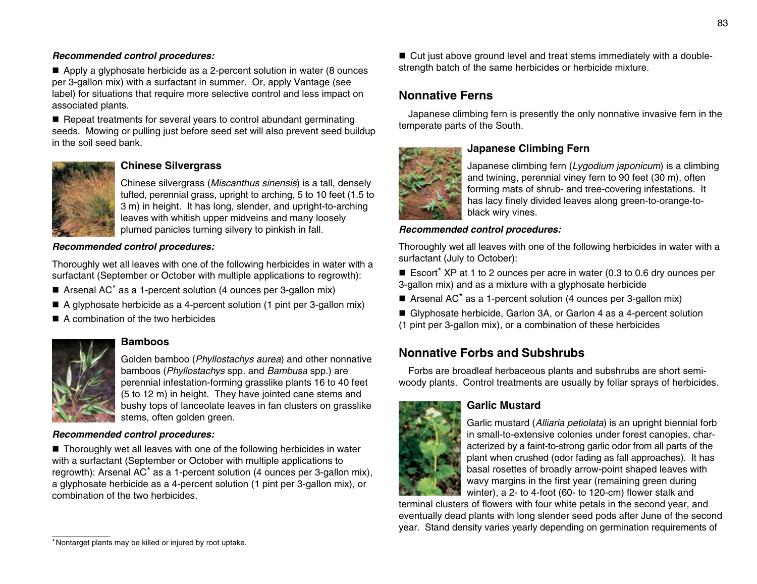### *Recommended control procedures:*

 $\blacksquare$  Apply a glyphosate herbicide as a 2-percent solution in water (8 ounces per 3-gallon mix) with a surfactant in summer. Or, apply Vantage (see label) for situations that require more selective control and less impact on associated plants.

 $\blacksquare$  Repeat treatments for several years to control abundant germinating seeds. Mowing or pulling just before seed set will also prevent seed buildup in the soil seed bank.



# **Chinese Silvergrass**

Chinese silvergrass (*Miscanthus sinensis*) is a tall, densely tufted, perennial grass, upright to arching, 5 to 10 feet (1.5 to 3 m) in height. It has long, slender, and upright-to-arching leaves with whitish upper midveins and many loosely plumed panicles turning silvery to pinkish in fall.

### *Recommended control procedures:*

Thoroughly wet all leaves with one of the following herbicides in water with a surfactant (September or October with multiple applications to regrowth):

- Arsenal AC<sup>\*</sup> as a 1-percent solution (4 ounces per 3-gallon mix)
- $\blacksquare$  A glyphosate herbicide as a 4-percent solution (1 pint per 3-gallon mix)
- A combination of the two herbicides



# **Bamboos**

Golden bamboo (*Phyllostachys aurea*) and other nonnative bamboos (*Phyllostachys* spp. and *Bambusa* spp.) are perennial infestation-forming grasslike plants 16 to 40 feet (5 to 12 m) in height. They have jointed cane stems and bushy tops of lanceolate leaves in fan clusters on grasslike stems, often golden green.

## *Recommended control procedures:*

■ Thoroughly wet all leaves with one of the following herbicides in water with a surfactant (September or October with multiple applications to regrowth): Arsenal AC\* as a 1-percent solution (4 ounces per 3-gallon mix), a glyphosate herbicide as a 4-percent solution (1 pint per 3-gallon mix), or combination of the two herbicides.

■ Cut just above ground level and treat stems immediately with a doublestrength batch of the same herbicides or herbicide mixture.

# **Nonnative Ferns**

Japanese climbing fern is presently the only nonnative invasive fern in the temperate parts of the South.



# **Japanese Climbing Fern**

Japanese climbing fern (*Lygodium japonicum*) is a climbing and twining, perennial viney fern to 90 feet (30 m), often forming mats of shrub- and tree-covering infestations. It has lacy finely divided leaves along green-to-orange-toblack wiry vines.

# *Recommended control procedures:*

Thoroughly wet all leaves with one of the following herbicides in water with a surfactant (July to October):

Escort<sup>\*</sup> XP at 1 to 2 ounces per acre in water (0.3 to 0.6 dry ounces per 3-gallon mix) and as a mixture with a glyphosate herbicide

Arsenal AC<sup>\*</sup> as a 1-percent solution (4 ounces per 3-gallon mix)

■ Glyphosate herbicide, Garlon 3A, or Garlon 4 as a 4-percent solution (1 pint per 3-gallon mix), or a combination of these herbicides

# **Nonnative Forbs and Subshrubs**

Forbs are broadleaf herbaceous plants and subshrubs are short semiwoody plants. Control treatments are usually by foliar sprays of herbicides.



# **Garlic Mustard**

Garlic mustard (*Alliaria petiolata*) is an upright biennial forb in small-to-extensive colonies under forest canopies, characterized by a faint-to-strong garlic odor from all parts of the plant when crushed (odor fading as fall approaches). It has basal rosettes of broadly arrow-point shaped leaves with wavy margins in the first year (remaining green during winter), a 2- to 4-foot (60- to 120-cm) flower stalk and

terminal clusters of flowers with four white petals in the second year, and eventually dead plants with long slender seed pods after June of the second year. Stand density varies yearly depending on germination requirements of

<sup>83</sup>

<sup>\*</sup>Nontarget plants may be killed or injured by root uptake.